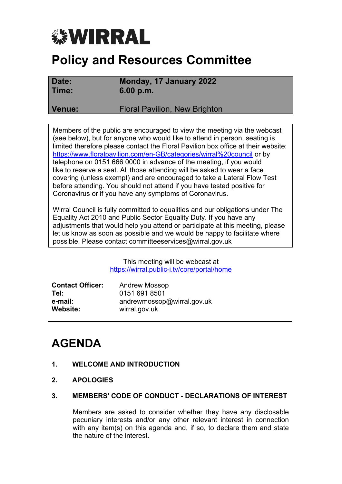# *<b>WIRRAL*

## **Policy and Resources Committee**

**Date: Monday, 17 January 2022 Time: 6.00 p.m.**

**Venue:** Floral Pavilion, New Brighton

Members of the public are encouraged to view the meeting via the webcast (see below), but for anyone who would like to attend in person, seating is limited therefore please contact the Floral Pavilion box office at their website: <https://www.floralpavilion.com/en-GB/categories/wirral%20council> or by telephone on 0151 666 0000 in advance of the meeting, if you would like to reserve a seat. All those attending will be asked to wear a face covering (unless exempt) and are encouraged to take a Lateral Flow Test before attending. You should not attend if you have tested positive for Coronavirus or if you have any symptoms of Coronavirus.

Wirral Council is fully committed to equalities and our obligations under The Equality Act 2010 and Public Sector Equality Duty. If you have any adjustments that would help you attend or participate at this meeting, please let us know as soon as possible and we would be happy to facilitate where possible. Please contact committeeservices@wirral.gov.uk

> This meeting will be webcast at <https://wirral.public-i.tv/core/portal/home>

| <b>Contact Officer:</b> | <b>Andrew Mossop</b>       |
|-------------------------|----------------------------|
| Tel:                    | 0151 691 8501              |
| e-mail:                 | andrewmossop@wirral.gov.uk |
| Website:                | wirral.gov.uk              |

### **AGENDA**

- **1. WELCOME AND INTRODUCTION**
- **2. APOLOGIES**
- **3. MEMBERS' CODE OF CONDUCT - DECLARATIONS OF INTEREST**

Members are asked to consider whether they have any disclosable pecuniary interests and/or any other relevant interest in connection with any item(s) on this agenda and, if so, to declare them and state the nature of the interest.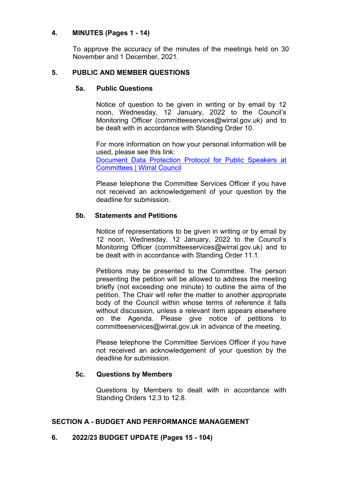#### **4. MINUTES (Pages 1 - 14)**

To approve the accuracy of the minutes of the meetings held on 30 November and 1 December, 2021.

#### **5. PUBLIC AND MEMBER QUESTIONS**

#### **5a. Public Questions**

Notice of question to be given in writing or by email by 12 noon, Wednesday, 12 January, 2022 to the Council's Monitoring Officer (committeeservices@wirral.gov.uk) and to be dealt with in accordance with Standing Order 10.

For more information on how your personal information will be used, please see this link: [Document](https://democracy.wirral.gov.uk/ecSDDisplay.aspx?NAME=Data%20Protection%20Protocol%20for%20Public%20Speakers%20at%20Co&ID=1298&RPID=517238898) Data Protection Protocol for Public Speakers at [Committees](https://democracy.wirral.gov.uk/ecSDDisplay.aspx?NAME=Data%20Protection%20Protocol%20for%20Public%20Speakers%20at%20Co&ID=1298&RPID=517238898) | Wirral Council

Please telephone the Committee Services Officer if you have not received an acknowledgement of your question by the deadline for submission.

#### **5b. Statements and Petitions**

Notice of representations to be given in writing or by email by 12 noon, Wednesday, 12 January, 2022 to the Council's Monitoring Officer (committeeservices@wirral.gov.uk) and to be dealt with in accordance with Standing Order 11.1.

Petitions may be presented to the Committee. The person presenting the petition will be allowed to address the meeting briefly (not exceeding one minute) to outline the aims of the petition. The Chair will refer the matter to another appropriate body of the Council within whose terms of reference it falls without discussion, unless a relevant item appears elsewhere on the Agenda. Please give notice of petitions to committeeservices@wirral.gov.uk in advance of the meeting.

Please telephone the Committee Services Officer if you have not received an acknowledgement of your question by the deadline for submission.

#### **5c. Questions by Members**

Questions by Members to dealt with in accordance with Standing Orders 12.3 to 12.8.

#### **SECTION A - BUDGET AND PERFORMANCE MANAGEMENT**

#### **6. 2022/23 BUDGET UPDATE (Pages 15 - 104)**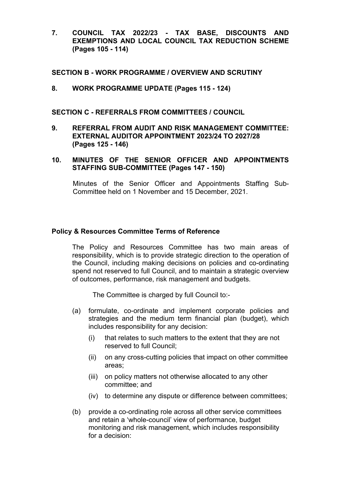**7. COUNCIL TAX 2022/23 - TAX BASE, DISCOUNTS AND EXEMPTIONS AND LOCAL COUNCIL TAX REDUCTION SCHEME (Pages 105 - 114)**

#### **SECTION B - WORK PROGRAMME / OVERVIEW AND SCRUTINY**

**8. WORK PROGRAMME UPDATE (Pages 115 - 124)**

**SECTION C - REFERRALS FROM COMMITTEES / COUNCIL**

- **9. REFERRAL FROM AUDIT AND RISK MANAGEMENT COMMITTEE: EXTERNAL AUDITOR APPOINTMENT 2023/24 TO 2027/28 (Pages 125 - 146)**
- **10. MINUTES OF THE SENIOR OFFICER AND APPOINTMENTS STAFFING SUB-COMMITTEE (Pages 147 - 150)**

Minutes of the Senior Officer and Appointments Staffing Sub-Committee held on 1 November and 15 December, 2021.

#### **Policy & Resources Committee Terms of Reference**

The Policy and Resources Committee has two main areas of responsibility, which is to provide strategic direction to the operation of the Council, including making decisions on policies and co-ordinating spend not reserved to full Council, and to maintain a strategic overview of outcomes, performance, risk management and budgets.

The Committee is charged by full Council to:-

- (a) formulate, co-ordinate and implement corporate policies and strategies and the medium term financial plan (budget), which includes responsibility for any decision:
	- (i) that relates to such matters to the extent that they are not reserved to full Council;
	- (ii) on any cross-cutting policies that impact on other committee areas;
	- (iii) on policy matters not otherwise allocated to any other committee; and
	- (iv) to determine any dispute or difference between committees;
- (b) provide a co-ordinating role across all other service committees and retain a 'whole-council' view of performance, budget monitoring and risk management, which includes responsibility for a decision: